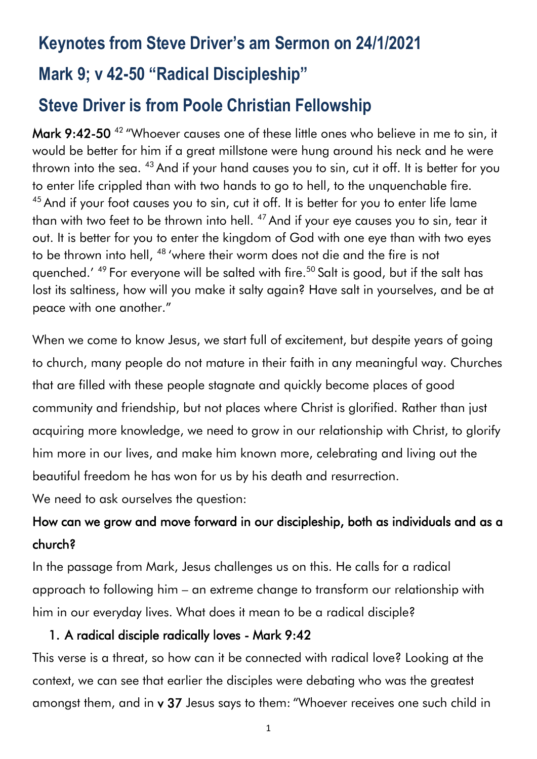# **Keynotes from Steve Driver's am Sermon on 24/1/2021**

## **Mark 9; v 42-50 "Radical Discipleship"**

# **Steve Driver is from Poole Christian Fellowship**

Mark 9:42-50<sup>42</sup> "Whoever causes one of these little ones who believe in me to sin, it would be better for him if a great millstone were hung around his neck and he were thrown into the sea. <sup>43</sup> And if your hand causes you to sin, cut it off. It is better for you to enter life crippled than with two hands to go to hell, to the unquenchable fire. <sup>45</sup> And if your foot causes you to sin, cut it off. It is better for you to enter life lame than with two feet to be thrown into hell. <sup>47</sup> And if your eye causes you to sin, tear it out. It is better for you to enter the kingdom of God with one eye than with two eyes to be thrown into hell, <sup>48</sup> 'where their worm does not die and the fire is not quenched.' <sup>49</sup> For everyone will be salted with fire.<sup>50</sup> Salt is good, but if the salt has lost its saltiness, how will you make it salty again? Have salt in yourselves, and be at peace with one another."

When we come to know Jesus, we start full of excitement, but despite years of going to church, many people do not mature in their faith in any meaningful way. Churches that are filled with these people stagnate and quickly become places of good community and friendship, but not places where Christ is glorified. Rather than just acquiring more knowledge, we need to grow in our relationship with Christ, to glorify him more in our lives, and make him known more, celebrating and living out the beautiful freedom he has won for us by his death and resurrection.

We need to ask ourselves the question:

## How can we grow and move forward in our discipleship, both as individuals and as a church?

In the passage from Mark, Jesus challenges us on this. He calls for a radical approach to following him – an extreme change to transform our relationship with him in our everyday lives. What does it mean to be a radical disciple?

#### 1. A radical disciple radically loves - Mark 9:42

This verse is a threat, so how can it be connected with radical love? Looking at the context, we can see that earlier the disciples were debating who was the greatest amongst them, and in v 37 Jesus says to them: "Whoever receives one such child in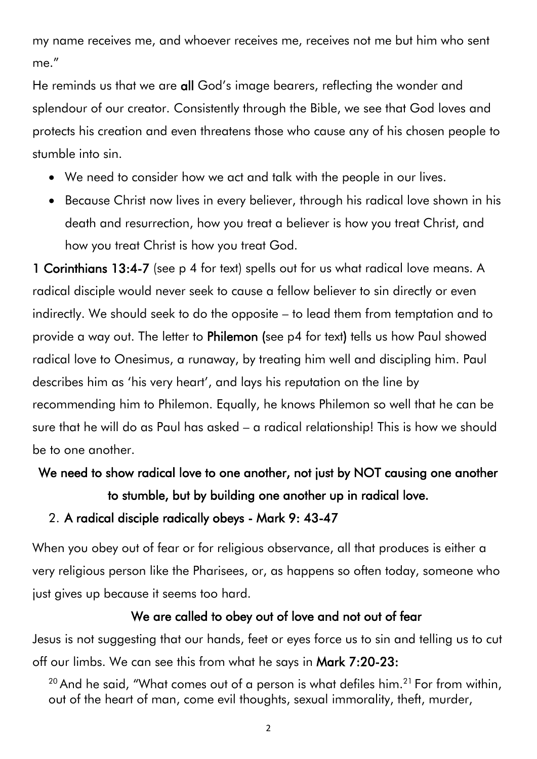my name receives me, and whoever receives me, receives not me but him who sent me."

He reminds us that we are all God's image bearers, reflecting the wonder and splendour of our creator. Consistently through the Bible, we see that God loves and protects his creation and even threatens those who cause any of his chosen people to stumble into sin.

- We need to consider how we act and talk with the people in our lives.
- Because Christ now lives in every believer, through his radical love shown in his death and resurrection, how you treat a believer is how you treat Christ, and how you treat Christ is how you treat God.

1 Corinthians 13:4-7 (see p 4 for text) spells out for us what radical love means. A radical disciple would never seek to cause a fellow believer to sin directly or even indirectly. We should seek to do the opposite – to lead them from temptation and to provide a way out. The letter to Philemon (see p4 for text) tells us how Paul showed radical love to Onesimus, a runaway, by treating him well and discipling him. Paul describes him as 'his very heart', and lays his reputation on the line by recommending him to Philemon. Equally, he knows Philemon so well that he can be sure that he will do as Paul has asked – a radical relationship! This is how we should be to one another.

We need to show radical love to one another, not just by NOT causing one another to stumble, but by building one another up in radical love.

#### 2. A radical disciple radically obeys - Mark 9: 43-47

When you obey out of fear or for religious observance, all that produces is either a very religious person like the Pharisees, or, as happens so often today, someone who just gives up because it seems too hard.

#### We are called to obey out of love and not out of fear

Jesus is not suggesting that our hands, feet or eyes force us to sin and telling us to cut off our limbs. We can see this from what he says in Mark 7:20-23:

 $20$  And he said, "What comes out of a person is what defiles him.<sup>21</sup> For from within, out of the heart of man, come evil thoughts, sexual immorality, theft, murder,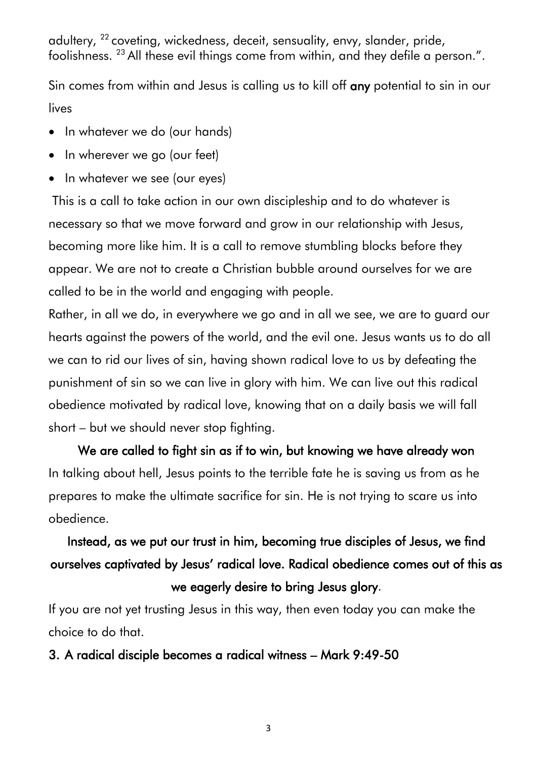adultery, <sup>22</sup> coveting, wickedness, deceit, sensuality, envy, slander, pride, foolishness. <sup>23</sup> All these evil things come from within, and they defile a person.".

Sin comes from within and Jesus is calling us to kill off any potential to sin in our lives

- In whatever we do (our hands)
- In wherever we go (our feet)
- In whatever we see (our eyes)

This is a call to take action in our own discipleship and to do whatever is necessary so that we move forward and grow in our relationship with Jesus, becoming more like him. It is a call to remove stumbling blocks before they appear. We are not to create a Christian bubble around ourselves for we are called to be in the world and engaging with people.

Rather, in all we do, in everywhere we go and in all we see, we are to guard our hearts against the powers of the world, and the evil one. Jesus wants us to do all we can to rid our lives of sin, having shown radical love to us by defeating the punishment of sin so we can live in glory with him. We can live out this radical obedience motivated by radical love, knowing that on a daily basis we will fall short – but we should never stop fighting.

We are called to fight sin as if to win, but knowing we have already won In talking about hell, Jesus points to the terrible fate he is saving us from as he prepares to make the ultimate sacrifice for sin. He is not trying to scare us into obedience.

# Instead, as we put our trust in him, becoming true disciples of Jesus, we find ourselves captivated by Jesus' radical love. Radical obedience comes out of this as we eagerly desire to bring Jesus glory.

If you are not yet trusting Jesus in this way, then even today you can make the choice to do that.

#### 3. A radical disciple becomes a radical witness – Mark 9:49-50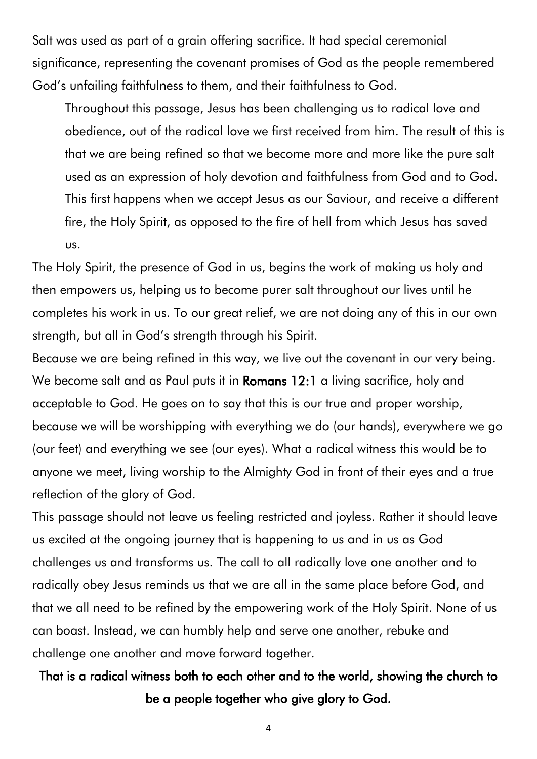Salt was used as part of a grain offering sacrifice. It had special ceremonial significance, representing the covenant promises of God as the people remembered God's unfailing faithfulness to them, and their faithfulness to God.

Throughout this passage, Jesus has been challenging us to radical love and obedience, out of the radical love we first received from him. The result of this is that we are being refined so that we become more and more like the pure salt used as an expression of holy devotion and faithfulness from God and to God. This first happens when we accept Jesus as our Saviour, and receive a different fire, the Holy Spirit, as opposed to the fire of hell from which Jesus has saved us.

The Holy Spirit, the presence of God in us, begins the work of making us holy and then empowers us, helping us to become purer salt throughout our lives until he completes his work in us. To our great relief, we are not doing any of this in our own strength, but all in God's strength through his Spirit.

Because we are being refined in this way, we live out the covenant in our very being. We become salt and as Paul puts it in **Romans 12:1** a living sacrifice, holy and acceptable to God. He goes on to say that this is our true and proper worship, because we will be worshipping with everything we do (our hands), everywhere we go (our feet) and everything we see (our eyes). What a radical witness this would be to anyone we meet, living worship to the Almighty God in front of their eyes and a true reflection of the glory of God.

This passage should not leave us feeling restricted and joyless. Rather it should leave us excited at the ongoing journey that is happening to us and in us as God challenges us and transforms us. The call to all radically love one another and to radically obey Jesus reminds us that we are all in the same place before God, and that we all need to be refined by the empowering work of the Holy Spirit. None of us can boast. Instead, we can humbly help and serve one another, rebuke and challenge one another and move forward together.

That is a radical witness both to each other and to the world, showing the church to be a people together who give glory to God.

4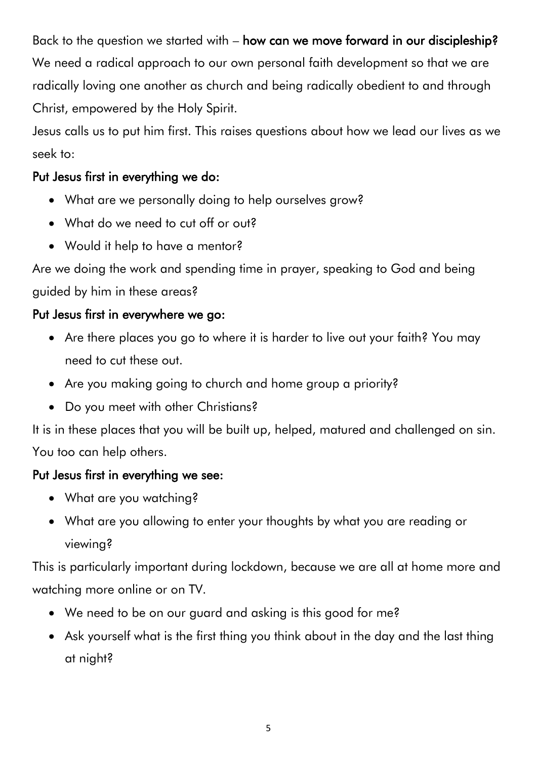Back to the question we started with – how can we move forward in our discipleship? We need a radical approach to our own personal faith development so that we are radically loving one another as church and being radically obedient to and through Christ, empowered by the Holy Spirit.

Jesus calls us to put him first. This raises questions about how we lead our lives as we seek to:

### Put Jesus first in everything we do:

- What are we personally doing to help ourselves grow?
- What do we need to cut off or out?
- Would it help to have a mentor?

Are we doing the work and spending time in prayer, speaking to God and being guided by him in these areas?

### Put Jesus first in everywhere we go:

- Are there places you go to where it is harder to live out your faith? You may need to cut these out.
- Are you making going to church and home group a priority?
- Do you meet with other Christians?

It is in these places that you will be built up, helped, matured and challenged on sin. You too can help others.

### Put Jesus first in everything we see:

- What are you watching?
- What are you allowing to enter your thoughts by what you are reading or viewing?

This is particularly important during lockdown, because we are all at home more and watching more online or on TV.

- We need to be on our guard and asking is this good for me?
- Ask yourself what is the first thing you think about in the day and the last thing at night?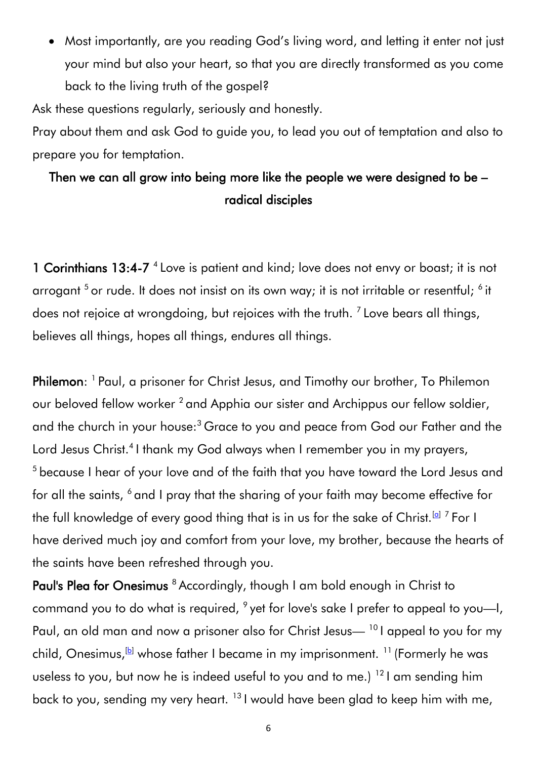• Most importantly, are you reading God's living word, and letting it enter not just your mind but also your heart, so that you are directly transformed as you come back to the living truth of the gospel?

Ask these questions regularly, seriously and honestly.

Pray about them and ask God to guide you, to lead you out of temptation and also to prepare you for temptation.

## Then we can all grow into being more like the people we were designed to be – radical disciples

1 Corinthians 13:4-7<sup>4</sup> Love is patient and kind; love does not envy or boast; it is not arrogant <sup>5</sup> or rude. It does not insist on its own way; it is not irritable or resentful; <sup>6</sup> it does not rejoice at wrongdoing, but rejoices with the truth. <sup>7</sup> Love bears all things, believes all things, hopes all things, endures all things.

Philemon: <sup>1</sup> Paul, a prisoner for Christ Jesus, and Timothy our brother, To Philemon our beloved fellow worker<sup>2</sup> and Apphia our sister and Archippus our fellow soldier, and the church in your house:<sup>3</sup> Grace to you and peace from God our Father and the Lord Jesus Christ.<sup>4</sup> I thank my God always when I remember you in my prayers, <sup>5</sup> because I hear of your love and of the faith that you have toward the Lord Jesus and for all the saints, <sup>6</sup> and I pray that the sharing of your faith may become effective for the full knowledge of every good thing that is in us for the sake of Christ. $^{\text{\tiny{[Q]}}}$   $^7$  For I have derived much joy and comfort from your love, my brother, because the hearts of the saints have been refreshed through you.

Paul's Plea for Onesimus <sup>8</sup> Accordingly, though I am bold enough in Christ to command you to do what is required,  $\degree$  yet for love's sake I prefer to appeal to you—I, Paul, an old man and now a prisoner also for Christ Jesus—<sup>10</sup> I appeal to you for my child, Onesimus,  $\mathbb{B}$  whose father I became in my imprisonment. <sup>11</sup> (Formerly he was useless to you, but now he is indeed useful to you and to me.) <sup>12</sup> I am sending him back to you, sending my very heart. <sup>13</sup> I would have been glad to keep him with me,